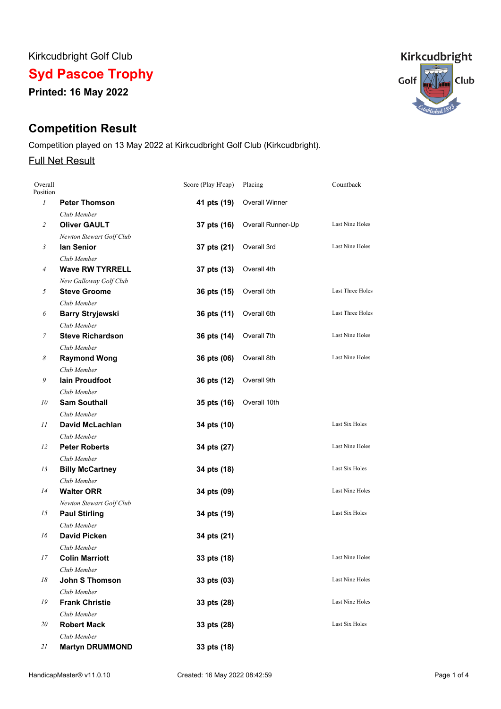Kirkcudbright Golf Club

**Syd Pascoe Trophy**

**Printed: 16 May 2022**

# **Competition Result**

Competition played on 13 May 2022 at Kirkcudbright Golf Club (Kirkcudbright).

## Full Net Result

| Overall<br>Position |                          | Score (Play H'cap) | Placing               | Countback              |
|---------------------|--------------------------|--------------------|-----------------------|------------------------|
| $\boldsymbol{l}$    | <b>Peter Thomson</b>     | 41 pts (19)        | <b>Overall Winner</b> |                        |
|                     | Club Member              |                    |                       |                        |
| $\overline{c}$      | <b>Oliver GAULT</b>      | 37 pts (16)        | Overall Runner-Up     | <b>Last Nine Holes</b> |
|                     | Newton Stewart Golf Club |                    |                       |                        |
| 3                   | lan Senior               | 37 pts (21)        | Overall 3rd           | Last Nine Holes        |
|                     | Club Member              |                    |                       |                        |
| $\overline{4}$      | <b>Wave RW TYRRELL</b>   | 37 pts (13)        | Overall 4th           |                        |
|                     | New Galloway Golf Club   |                    |                       |                        |
| 5                   | <b>Steve Groome</b>      | 36 pts (15)        | Overall 5th           | Last Three Holes       |
|                     | Club Member              |                    |                       |                        |
| 6                   | <b>Barry Stryjewski</b>  | 36 pts (11)        | Overall 6th           | Last Three Holes       |
|                     | Club Member              |                    |                       |                        |
| $\overline{7}$      | <b>Steve Richardson</b>  | 36 pts (14)        | Overall 7th           | Last Nine Holes        |
|                     | Club Member              |                    |                       |                        |
| 8                   | <b>Raymond Wong</b>      | 36 pts (06)        | Overall 8th           | Last Nine Holes        |
|                     | Club Member              |                    |                       |                        |
| 9                   | <b>lain Proudfoot</b>    | 36 pts (12)        | Overall 9th           |                        |
|                     | Club Member              |                    |                       |                        |
| 10                  | <b>Sam Southall</b>      | 35 pts (16)        | Overall 10th          |                        |
|                     | Club Member              |                    |                       |                        |
| 11                  | <b>David McLachlan</b>   | 34 pts (10)        |                       | Last Six Holes         |
|                     | Club Member              |                    |                       |                        |
| 12                  | <b>Peter Roberts</b>     | 34 pts (27)        |                       | Last Nine Holes        |
|                     | Club Member              |                    |                       |                        |
| 13                  | <b>Billy McCartney</b>   | 34 pts (18)        |                       | Last Six Holes         |
|                     | Club Member              |                    |                       |                        |
| 14                  | <b>Walter ORR</b>        | 34 pts (09)        |                       | Last Nine Holes        |
|                     | Newton Stewart Golf Club |                    |                       |                        |
| 15                  | <b>Paul Stirling</b>     | 34 pts (19)        |                       | Last Six Holes         |
|                     | Club Member              |                    |                       |                        |
| 16                  | <b>David Picken</b>      | 34 pts (21)        |                       |                        |
|                     | Club Member              |                    |                       |                        |
| 17                  | <b>Colin Marriott</b>    | 33 pts (18)        |                       | Last Nine Holes        |
|                     | Club Member              |                    |                       |                        |
| 18                  | <b>John S Thomson</b>    | 33 pts (03)        |                       | Last Nine Holes        |
|                     | Club Member              |                    |                       |                        |
| 19                  | <b>Frank Christie</b>    | 33 pts (28)        |                       | Last Nine Holes        |
|                     | Club Member              |                    |                       |                        |
| 20                  | <b>Robert Mack</b>       | 33 pts (28)        |                       | Last Six Holes         |
|                     | Club Member              |                    |                       |                        |
| 21                  | <b>Martyn DRUMMOND</b>   | 33 pts (18)        |                       |                        |

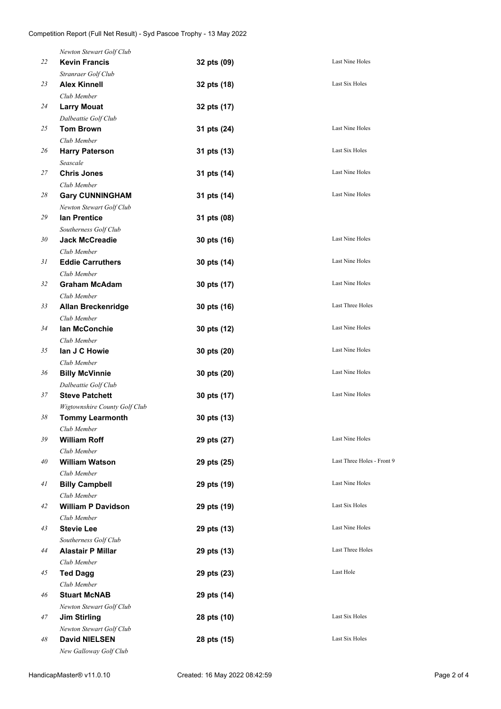|    | Newton Stewart Golf Club                         |             |                            |
|----|--------------------------------------------------|-------------|----------------------------|
| 22 | <b>Kevin Francis</b>                             | 32 pts (09) | Last Nine Holes            |
|    | Stranraer Golf Club                              |             |                            |
| 23 | <b>Alex Kinnell</b>                              | 32 pts (18) | Last Six Holes             |
|    | Club Member                                      |             |                            |
| 24 | <b>Larry Mouat</b>                               | 32 pts (17) |                            |
|    | Dalbeattie Golf Club                             |             |                            |
| 25 | <b>Tom Brown</b>                                 | 31 pts (24) | Last Nine Holes            |
|    | Club Member                                      |             |                            |
| 26 | <b>Harry Paterson</b>                            | 31 pts (13) | Last Six Holes             |
|    | Seascale                                         |             |                            |
| 27 | <b>Chris Jones</b>                               | 31 pts (14) | Last Nine Holes            |
|    | Club Member                                      |             |                            |
| 28 | <b>Gary CUNNINGHAM</b>                           | 31 pts (14) | Last Nine Holes            |
|    | Newton Stewart Golf Club                         |             |                            |
| 29 | <b>lan Prentice</b>                              | 31 pts (08) |                            |
|    | Southerness Golf Club                            |             |                            |
| 30 | <b>Jack McCreadie</b>                            | 30 pts (16) | Last Nine Holes            |
|    | Club Member                                      |             |                            |
| 31 | <b>Eddie Carruthers</b>                          | 30 pts (14) | Last Nine Holes            |
|    | Club Member                                      |             |                            |
| 32 | <b>Graham McAdam</b>                             | 30 pts (17) | Last Nine Holes            |
|    | Club Member                                      |             |                            |
| 33 | <b>Allan Breckenridge</b>                        | 30 pts (16) | Last Three Holes           |
|    | Club Member                                      |             |                            |
| 34 | lan McConchie                                    | 30 pts (12) | Last Nine Holes            |
|    | Club Member                                      |             |                            |
| 35 | lan J C Howie                                    | 30 pts (20) | Last Nine Holes            |
|    | Club Member                                      |             |                            |
| 36 | <b>Billy McVinnie</b>                            | 30 pts (20) | Last Nine Holes            |
|    | Dalbeattie Golf Club                             |             |                            |
| 37 | <b>Steve Patchett</b>                            | 30 pts (17) | Last Nine Holes            |
|    | Wigtownshire County Golf Club                    |             |                            |
| 38 | <b>Tommy Learmonth</b>                           | 30 pts (13) |                            |
|    | Club Member                                      |             |                            |
| 39 | <b>William Roff</b>                              | 29 pts (27) | Last Nine Holes            |
|    | Club Member                                      |             |                            |
| 40 | <b>William Watson</b>                            | 29 pts (25) | Last Three Holes - Front 9 |
|    | Club Member                                      |             |                            |
| 41 | <b>Billy Campbell</b>                            | 29 pts (19) | Last Nine Holes            |
|    | Club Member                                      |             |                            |
| 42 | <b>William P Davidson</b>                        | 29 pts (19) | Last Six Holes             |
|    | Club Member                                      |             |                            |
| 43 | <b>Stevie Lee</b>                                | 29 pts (13) | Last Nine Holes            |
|    | Southerness Golf Club                            |             |                            |
| 44 | <b>Alastair P Millar</b>                         | 29 pts (13) | Last Three Holes           |
|    | Club Member                                      |             |                            |
| 45 | <b>Ted Dagg</b>                                  | 29 pts (23) | Last Hole                  |
|    | Club Member                                      |             |                            |
| 46 | <b>Stuart McNAB</b>                              | 29 pts (14) |                            |
|    |                                                  |             |                            |
| 47 | Newton Stewart Golf Club<br><b>Jim Stirling</b>  | 28 pts (10) | Last Six Holes             |
|    |                                                  |             |                            |
| 48 | Newton Stewart Golf Club<br><b>David NIELSEN</b> |             | Last Six Holes             |
|    |                                                  | 28 pts (15) |                            |
|    | New Galloway Golf Club                           |             |                            |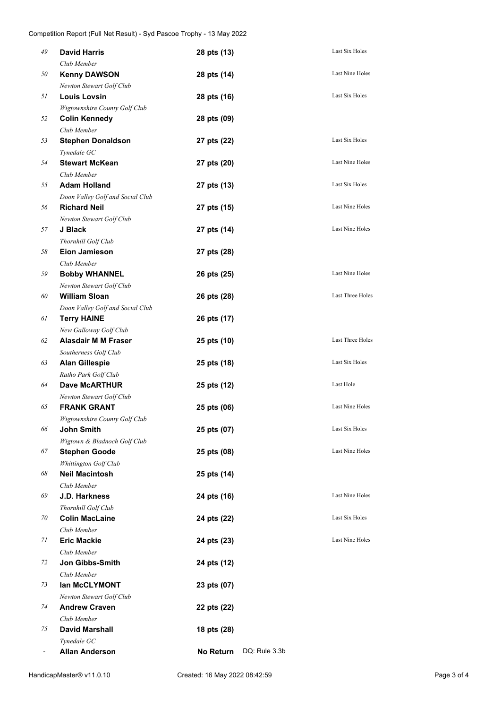| 49 | <b>David Harris</b>                                  | 28 pts (13) |               | Last Six Holes         |
|----|------------------------------------------------------|-------------|---------------|------------------------|
|    | Club Member                                          |             |               |                        |
| 50 | <b>Kenny DAWSON</b>                                  | 28 pts (14) |               | Last Nine Holes        |
|    | Newton Stewart Golf Club                             |             |               |                        |
| 51 | <b>Louis Lovsin</b>                                  | 28 pts (16) |               | Last Six Holes         |
|    | Wigtownshire County Golf Club                        |             |               |                        |
| 52 | <b>Colin Kennedy</b>                                 | 28 pts (09) |               |                        |
|    | Club Member                                          |             |               |                        |
| 53 | <b>Stephen Donaldson</b>                             | 27 pts (22) |               | Last Six Holes         |
|    | Tynedale GC                                          |             |               |                        |
| 54 | <b>Stewart McKean</b>                                | 27 pts (20) |               | <b>Last Nine Holes</b> |
|    | Club Member                                          |             |               |                        |
| 55 | <b>Adam Holland</b>                                  | 27 pts (13) |               | Last Six Holes         |
|    | Doon Valley Golf and Social Club                     |             |               |                        |
| 56 | <b>Richard Neil</b>                                  | 27 pts (15) |               | Last Nine Holes        |
|    | Newton Stewart Golf Club                             |             |               |                        |
| 57 | J Black                                              | 27 pts (14) |               | <b>Last Nine Holes</b> |
|    | Thornhill Golf Club                                  |             |               |                        |
| 58 | <b>Eion Jamieson</b>                                 | 27 pts (28) |               |                        |
|    | Club Member                                          |             |               |                        |
| 59 | <b>Bobby WHANNEL</b>                                 | 26 pts (25) |               | Last Nine Holes        |
|    | Newton Stewart Golf Club                             |             |               |                        |
| 60 | <b>William Sloan</b>                                 | 26 pts (28) |               | Last Three Holes       |
|    | Doon Valley Golf and Social Club                     |             |               |                        |
| 61 | <b>Terry HAINE</b>                                   | 26 pts (17) |               |                        |
|    | New Galloway Golf Club                               |             |               |                        |
| 62 | <b>Alasdair M M Fraser</b>                           | 25 pts (10) |               | Last Three Holes       |
|    | Southerness Golf Club                                |             |               |                        |
| 63 | <b>Alan Gillespie</b>                                | 25 pts (18) |               | Last Six Holes         |
|    | Ratho Park Golf Club                                 |             |               |                        |
| 64 | <b>Dave McARTHUR</b>                                 | 25 pts (12) |               | Last Hole              |
|    | Newton Stewart Golf Club                             |             |               | <b>Last Nine Holes</b> |
| 65 | <b>FRANK GRANT</b>                                   | 25 pts (06) |               |                        |
|    | Wigtownshire County Golf Club                        |             |               | Last Six Holes         |
| 66 | John Smith                                           | 25 pts (07) |               |                        |
| 67 | Wigtown & Bladnoch Golf Club<br><b>Stephen Goode</b> |             |               | Last Nine Holes        |
|    |                                                      | 25 pts (08) |               |                        |
| 68 | Whittington Golf Club<br><b>Neil Macintosh</b>       | 25 pts (14) |               |                        |
|    | Club Member                                          |             |               |                        |
| 69 | J.D. Harkness                                        | 24 pts (16) |               | Last Nine Holes        |
|    | Thornhill Golf Club                                  |             |               |                        |
| 70 | <b>Colin MacLaine</b>                                | 24 pts (22) |               | Last Six Holes         |
|    | Club Member                                          |             |               |                        |
| 71 | <b>Eric Mackie</b>                                   | 24 pts (23) |               | Last Nine Holes        |
|    | Club Member                                          |             |               |                        |
| 72 | Jon Gibbs-Smith                                      | 24 pts (12) |               |                        |
|    | Club Member                                          |             |               |                        |
| 73 | lan McCLYMONT                                        | 23 pts (07) |               |                        |
|    | Newton Stewart Golf Club                             |             |               |                        |
| 74 | <b>Andrew Craven</b>                                 | 22 pts (22) |               |                        |
|    | Club Member                                          |             |               |                        |
| 75 | <b>David Marshall</b>                                | 18 pts (28) |               |                        |
|    | Tynedale GC                                          |             |               |                        |
|    | <b>Allan Anderson</b>                                | No Return   | DQ: Rule 3.3b |                        |